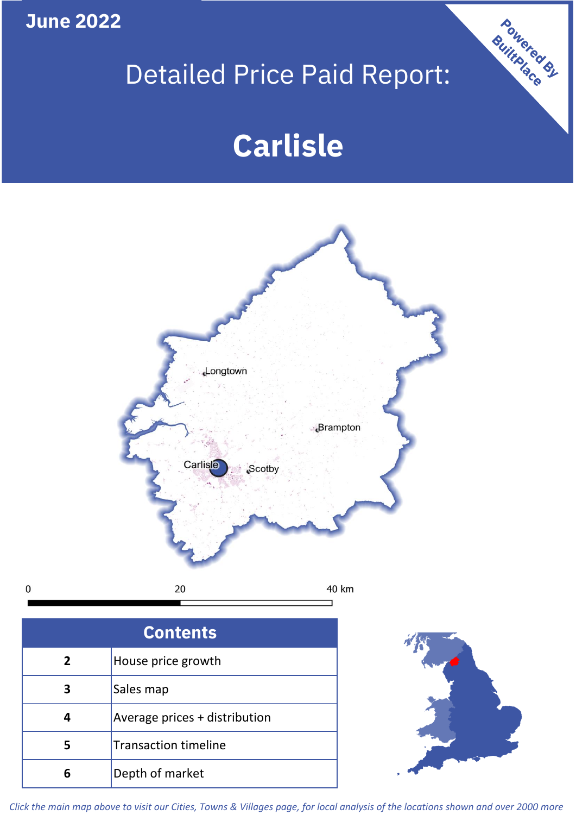**June 2022**

 $\pmb{0}$ 

## Detailed Price Paid Report:

# **Carlisle**



| <b>Contents</b> |                               |  |  |
|-----------------|-------------------------------|--|--|
| $\overline{2}$  | House price growth            |  |  |
| З               | Sales map                     |  |  |
|                 | Average prices + distribution |  |  |
|                 | <b>Transaction timeline</b>   |  |  |
|                 | Depth of market               |  |  |



Powered By

*Click the main map above to visit our Cities, Towns & Villages page, for local analysis of the locations shown and over 2000 more*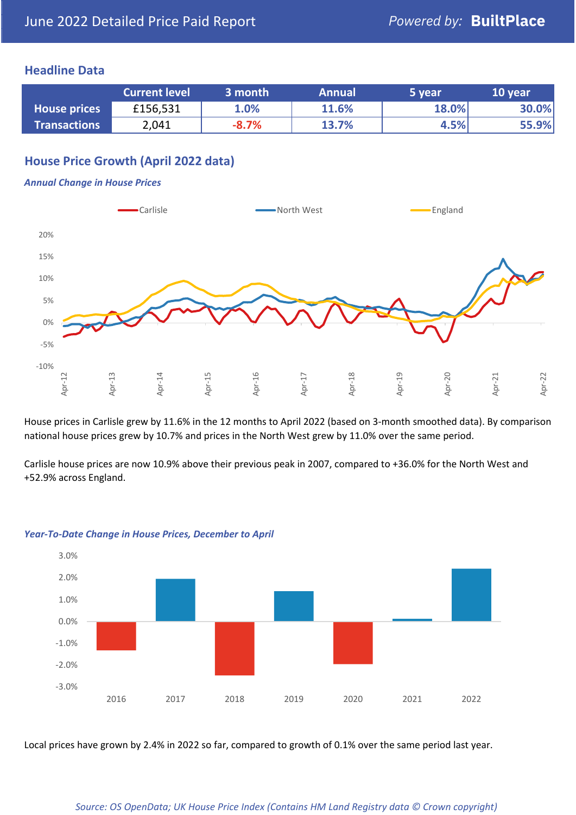## **Headline Data**

|                     | <b>Current level</b> | 3 month | <b>Annual</b> | 5 year | 10 year |
|---------------------|----------------------|---------|---------------|--------|---------|
| <b>House prices</b> | £156,531             | 1.0%    | 11.6%         | 18.0%  | 30.0%   |
| <b>Transactions</b> | 2,041                | $-8.7%$ | 13.7%         | 4.5%   | 55.9%   |

## **House Price Growth (April 2022 data)**

#### *Annual Change in House Prices*



House prices in Carlisle grew by 11.6% in the 12 months to April 2022 (based on 3-month smoothed data). By comparison national house prices grew by 10.7% and prices in the North West grew by 11.0% over the same period.

Carlisle house prices are now 10.9% above their previous peak in 2007, compared to +36.0% for the North West and +52.9% across England.



#### *Year-To-Date Change in House Prices, December to April*

Local prices have grown by 2.4% in 2022 so far, compared to growth of 0.1% over the same period last year.

#### *Source: OS OpenData; UK House Price Index (Contains HM Land Registry data © Crown copyright)*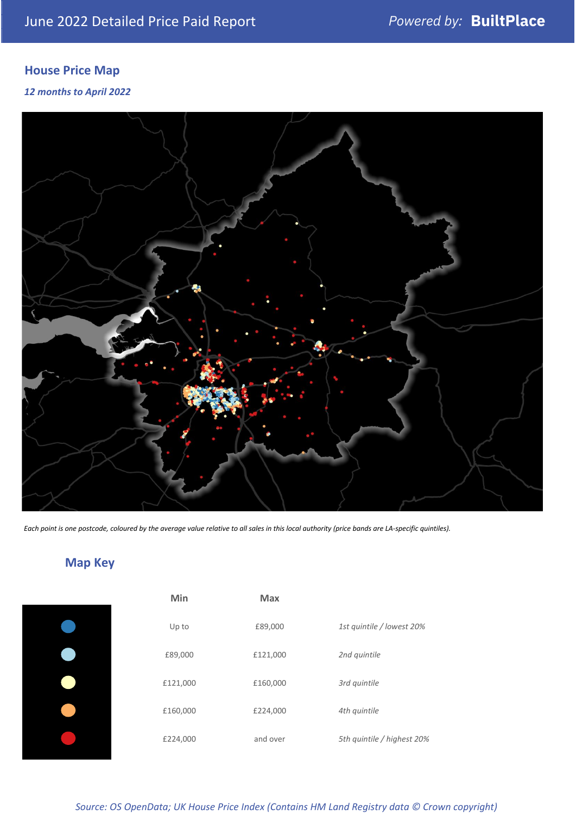## **House Price Map**

### *12 months to April 2022*



*Each point is one postcode, coloured by the average value relative to all sales in this local authority (price bands are LA-specific quintiles).*

## **Map Key**

| Min      | <b>Max</b> |                            |
|----------|------------|----------------------------|
| Up to    | £89,000    | 1st quintile / lowest 20%  |
| £89,000  | £121,000   | 2nd quintile               |
| £121,000 | £160,000   | 3rd quintile               |
| £160,000 | £224,000   | 4th quintile               |
| £224,000 | and over   | 5th quintile / highest 20% |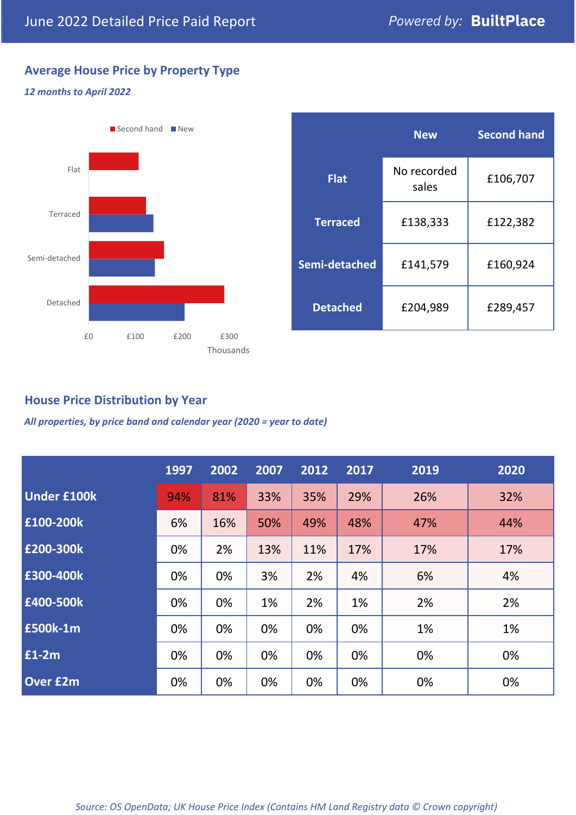## **Average House Price by Property Type**

### *12 months to April 2022*



## **House Price Distribution by Year**

*All properties, by price band and calendar year (2020 = year to date)*

|                    | 1997 | 2002 | 2007 | 2012 | 2017 | 2019 | 2020 |
|--------------------|------|------|------|------|------|------|------|
| <b>Under £100k</b> | 94%  | 81%  | 33%  | 35%  | 29%  | 26%  | 32%  |
| £100-200k          | 6%   | 16%  | 50%  | 49%  | 48%  | 47%  | 44%  |
| E200-300k          | 0%   | 2%   | 13%  | 11%  | 17%  | 17%  | 17%  |
| £300-400k          | 0%   | 0%   | 3%   | 2%   | 4%   | 6%   | 4%   |
| £400-500k          | 0%   | 0%   | 1%   | 2%   | 1%   | 2%   | 2%   |
| <b>£500k-1m</b>    | 0%   | 0%   | 0%   | 0%   | 0%   | 1%   | 1%   |
| £1-2m              | 0%   | 0%   | 0%   | 0%   | 0%   | 0%   | 0%   |
| <b>Over £2m</b>    | 0%   | 0%   | 0%   | 0%   | 0%   | 0%   | 0%   |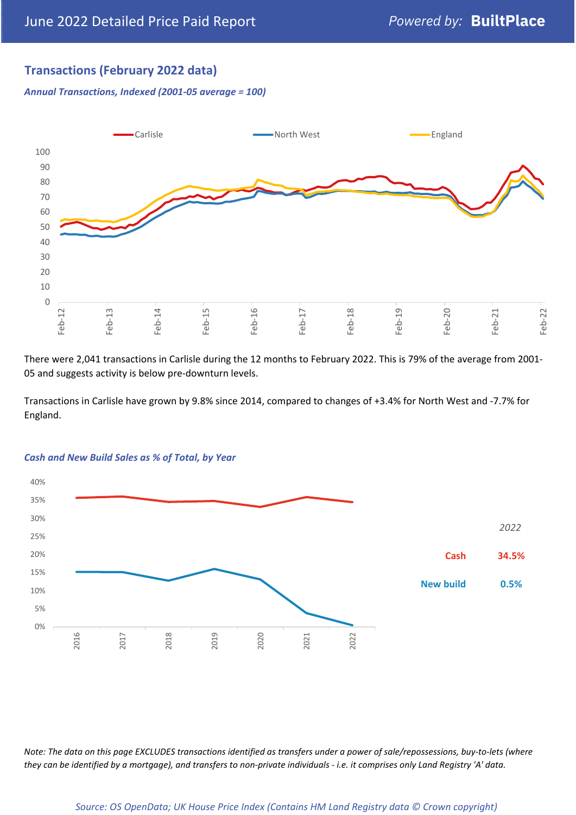## **Transactions (February 2022 data)**

*Annual Transactions, Indexed (2001-05 average = 100)*



There were 2,041 transactions in Carlisle during the 12 months to February 2022. This is 79% of the average from 2001- 05 and suggests activity is below pre-downturn levels.

Transactions in Carlisle have grown by 9.8% since 2014, compared to changes of +3.4% for North West and -7.7% for England.



#### *Cash and New Build Sales as % of Total, by Year*

*Note: The data on this page EXCLUDES transactions identified as transfers under a power of sale/repossessions, buy-to-lets (where they can be identified by a mortgage), and transfers to non-private individuals - i.e. it comprises only Land Registry 'A' data.*